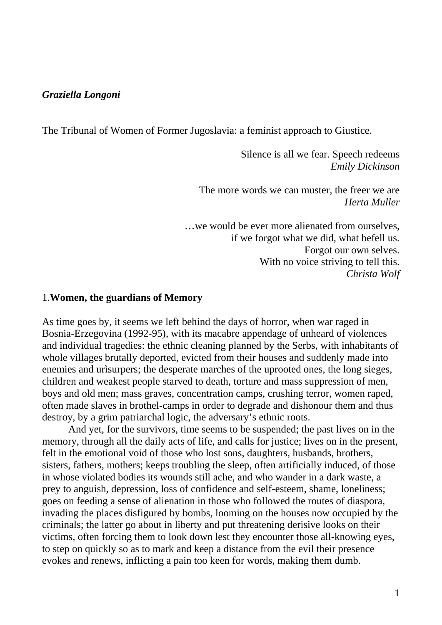## *Graziella Longoni*

The Tribunal of Women of Former Jugoslavia: a feminist approach to Giustice.

Silence is all we fear. Speech redeems *Emily Dickinson* 

The more words we can muster, the freer we are *Herta Muller* 

…we would be ever more alienated from ourselves, if we forgot what we did, what befell us. Forgot our own selves. With no voice striving to tell this. *Christa Wolf* 

## 1.**Women, the guardians of Memory**

As time goes by, it seems we left behind the days of horror, when war raged in Bosnia-Erzegovina (1992-95), with its macabre appendage of unheard of violences and individual tragedies: the ethnic cleaning planned by the Serbs, with inhabitants of whole villages brutally deported, evicted from their houses and suddenly made into enemies and urìsurpers; the desperate marches of the uprooted ones, the long sieges, children and weakest people starved to death, torture and mass suppression of men, boys and old men; mass graves, concentration camps, crushing terror, women raped, often made slaves in brothel-camps in order to degrade and dishonour them and thus destroy, by a grim patriarchal logic, the adversary's ethnic roots.

 And yet, for the survivors, time seems to be suspended; the past lives on in the memory, through all the daily acts of life, and calls for justice; lives on in the present, felt in the emotional void of those who lost sons, daughters, husbands, brothers, sisters, fathers, mothers; keeps troubling the sleep, often artificially induced, of those in whose violated bodies its wounds still ache, and who wander in a dark waste, a prey to anguish, depression, loss of confidence and self-esteem, shame, loneliness; goes on feeding a sense of alienation in those who followed the routes of diaspora, invading the places disfigured by bombs, looming on the houses now occupied by the criminals; the latter go about in liberty and put threatening derisive looks on their victims, often forcing them to look down lest they encounter those all-knowing eyes, to step on quickly so as to mark and keep a distance from the evil their presence evokes and renews, inflicting a pain too keen for words, making them dumb.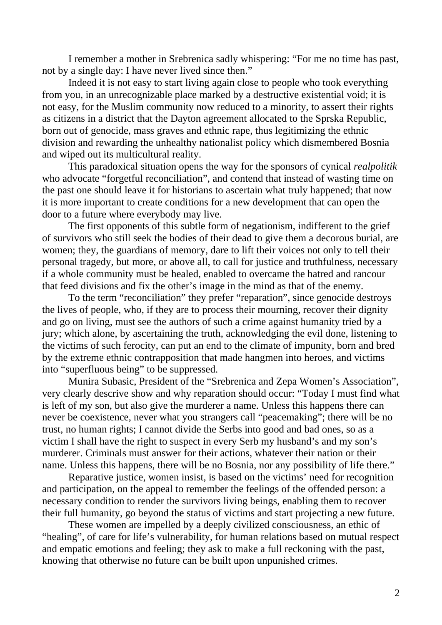I remember a mother in Srebrenica sadly whispering: "For me no time has past, not by a single day: I have never lived since then."

 Indeed it is not easy to start living again close to people who took everything from you, in an unrecognizable place marked by a destructive existential void; it is not easy, for the Muslim community now reduced to a minority, to assert their rights as citizens in a district that the Dayton agreement allocated to the Sprska Republic, born out of genocide, mass graves and ethnic rape, thus legitimizing the ethnic division and rewarding the unhealthy nationalist policy which dismembered Bosnia and wiped out its multicultural reality.

 This paradoxical situation opens the way for the sponsors of cynical *realpolitik* who advocate "forgetful reconciliation", and contend that instead of wasting time on the past one should leave it for historians to ascertain what truly happened; that now it is more important to create conditions for a new development that can open the door to a future where everybody may live.

 The first opponents of this subtle form of negationism, indifferent to the grief of survivors who still seek the bodies of their dead to give them a decorous burial, are women; they, the guardians of memory, dare to lift their voices not only to tell their personal tragedy, but more, or above all, to call for justice and truthfulness, necessary if a whole community must be healed, enabled to overcame the hatred and rancour that feed divisions and fix the other's image in the mind as that of the enemy.

 To the term "reconciliation" they prefer "reparation", since genocide destroys the lives of people, who, if they are to process their mourning, recover their dignity and go on living, must see the authors of such a crime against humanity tried by a jury; which alone, by ascertaining the truth, acknowledging the evil done, listening to the victims of such ferocity, can put an end to the climate of impunity, born and bred by the extreme ethnic contrapposition that made hangmen into heroes, and victims into "superfluous being" to be suppressed.

 Munira Subasic, President of the "Srebrenica and Zepa Women's Association", very clearly descrive show and why reparation should occur: "Today I must find what is left of my son, but also give the murderer a name. Unless this happens there can never be coexistence, never what you strangers call "peacemaking"; there will be no trust, no human rights; I cannot divide the Serbs into good and bad ones, so as a victim I shall have the right to suspect in every Serb my husband's and my son's murderer. Criminals must answer for their actions, whatever their nation or their name. Unless this happens, there will be no Bosnia, nor any possibility of life there."

 Reparative justice, women insist, is based on the victims' need for recognition and participation, on the appeal to remember the feelings of the offended person: a necessary condition to render the survivors living beings, enabling them to recover their full humanity, go beyond the status of victims and start projecting a new future.

 These women are impelled by a deeply civilized consciousness, an ethic of "healing", of care for life's vulnerability, for human relations based on mutual respect and empatic emotions and feeling; they ask to make a full reckoning with the past, knowing that otherwise no future can be built upon unpunished crimes.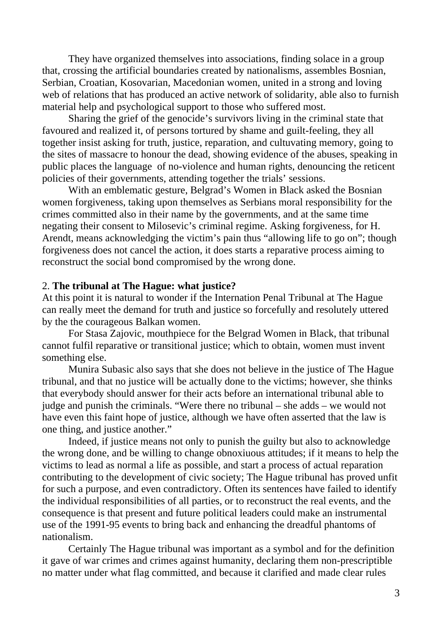They have organized themselves into associations, finding solace in a group that, crossing the artificial boundaries created by nationalisms, assembles Bosnian, Serbian, Croatian, Kosovarian, Macedonian women, united in a strong and loving web of relations that has produced an active network of solidarity, able also to furnish material help and psychological support to those who suffered most.

 Sharing the grief of the genocide's survivors living in the criminal state that favoured and realized it, of persons tortured by shame and guilt-feeling, they all together insist asking for truth, justice, reparation, and cultuvating memory, going to the sites of massacre to honour the dead, showing evidence of the abuses, speaking in public places the language of no-violence and human rights, denouncing the reticent policies of their governments, attending together the trials' sessions.

 With an emblematic gesture, Belgrad's Women in Black asked the Bosnian women forgiveness, taking upon themselves as Serbians moral responsibility for the crimes committed also in their name by the governments, and at the same time negating their consent to Milosevic's criminal regime. Asking forgiveness, for H. Arendt, means acknowledging the victim's pain thus "allowing life to go on"; though forgiveness does not cancel the action, it does starts a reparative process aiming to reconstruct the social bond compromised by the wrong done.

## 2. **The tribunal at The Hague: what justice?**

At this point it is natural to wonder if the Internation Penal Tribunal at The Hague can really meet the demand for truth and justice so forcefully and resolutely uttered by the the courageous Balkan women.

 For Stasa Zajovic, mouthpiece for the Belgrad Women in Black, that tribunal cannot fulfil reparative or transitional justice; which to obtain, women must invent something else.

 Munira Subasic also says that she does not believe in the justice of The Hague tribunal, and that no justice will be actually done to the victims; however, she thinks that everybody should answer for their acts before an international tribunal able to judge and punish the criminals. "Were there no tribunal – she adds – we would not have even this faint hope of justice, although we have often asserted that the law is one thing, and justice another."

 Indeed, if justice means not only to punish the guilty but also to acknowledge the wrong done, and be willing to change obnoxiuous attitudes; if it means to help the victims to lead as normal a life as possible, and start a process of actual reparation contributing to the development of civic society; The Hague tribunal has proved unfit for such a purpose, and even contradictory. Often its sentences have failed to identify the individual responsibilities of all parties, or to reconstruct the real events, and the consequence is that present and future political leaders could make an instrumental use of the 1991-95 events to bring back and enhancing the dreadful phantoms of nationalism.

 Certainly The Hague tribunal was important as a symbol and for the definition it gave of war crimes and crimes against humanity, declaring them non-prescriptible no matter under what flag committed, and because it clarified and made clear rules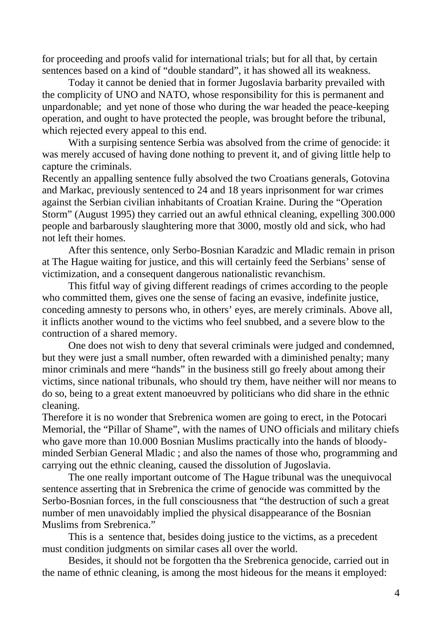for proceeding and proofs valid for international trials; but for all that, by certain sentences based on a kind of "double standard", it has showed all its weakness.

 Today it cannot be denied that in former Jugoslavia barbarity prevailed with the complicity of UNO and NATO, whose responsibility for this is permanent and unpardonable; and yet none of those who during the war headed the peace-keeping operation, and ought to have protected the people, was brought before the tribunal, which rejected every appeal to this end.

 With a surpising sentence Serbia was absolved from the crime of genocide: it was merely accused of having done nothing to prevent it, and of giving little help to capture the criminals.

Recently an appalling sentence fully absolved the two Croatians generals, Gotovina and Markac, previously sentenced to 24 and 18 years inprisonment for war crimes against the Serbian civilian inhabitants of Croatian Kraine. During the "Operation Storm" (August 1995) they carried out an awful ethnical cleaning, expelling 300.000 people and barbarously slaughtering more that 3000, mostly old and sick, who had not left their homes.

 After this sentence, only Serbo-Bosnian Karadzic and Mladic remain in prison at The Hague waiting for justice, and this will certainly feed the Serbians' sense of victimization, and a consequent dangerous nationalistic revanchism.

 This fitful way of giving different readings of crimes according to the people who committed them, gives one the sense of facing an evasive, indefinite justice, conceding amnesty to persons who, in others' eyes, are merely criminals. Above all, it inflicts another wound to the victims who feel snubbed, and a severe blow to the contruction of a shared memory.

 One does not wish to deny that several criminals were judged and condemned, but they were just a small number, often rewarded with a diminished penalty; many minor criminals and mere "hands" in the business still go freely about among their victims, since national tribunals, who should try them, have neither will nor means to do so, being to a great extent manoeuvred by politicians who did share in the ethnic cleaning.

Therefore it is no wonder that Srebrenica women are going to erect, in the Potocari Memorial, the "Pillar of Shame", with the names of UNO officials and military chiefs who gave more than 10.000 Bosnian Muslims practically into the hands of bloodyminded Serbian General Mladic ; and also the names of those who, programming and carrying out the ethnic cleaning, caused the dissolution of Jugoslavia.

 The one really important outcome of The Hague tribunal was the unequivocal sentence asserting that in Srebrenica the crime of genocide was committed by the Serbo-Bosnian forces, in the full consciousness that "the destruction of such a great number of men unavoidably implied the physical disappearance of the Bosnian Muslims from Srebrenica."

 This is a sentence that, besides doing justice to the victims, as a precedent must condition judgments on similar cases all over the world.

 Besides, it should not be forgotten tha the Srebrenica genocide, carried out in the name of ethnic cleaning, is among the most hideous for the means it employed: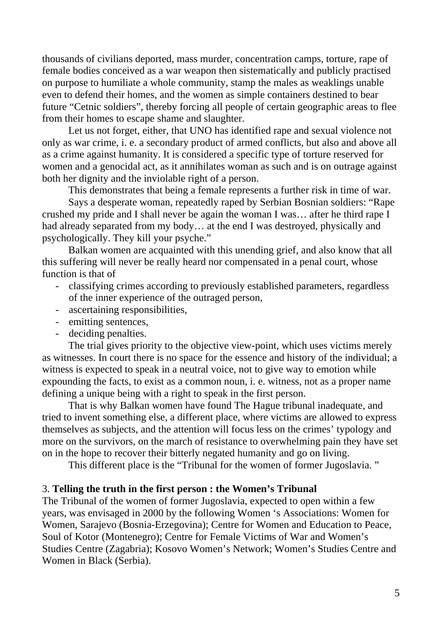thousands of civilians deported, mass murder, concentration camps, torture, rape of female bodies conceived as a war weapon then sistematically and publicly practised on purpose to humiliate a whole community, stamp the males as weaklings unable even to defend their homes, and the women as simple containers destined to bear future "Cetnic soldiers", thereby forcing all people of certain geographic areas to flee from their homes to escape shame and slaughter.

 Let us not forget, either, that UNO has identified rape and sexual violence not only as war crime, i. e. a secondary product of armed conflicts, but also and above all as a crime against humanity. It is considered a specific type of torture reserved for women and a genocidal act, as it annihilates woman as such and is on outrage against both her dignity and the inviolable right of a person.

This demonstrates that being a female represents a further risk in time of war.

 Says a desperate woman, repeatedly raped by Serbian Bosnian soldiers: "Rape crushed my pride and I shall never be again the woman I was… after he third rape I had already separated from my body… at the end I was destroyed, physically and psychologically. They kill your psyche."

 Balkan women are acquainted with this unending grief, and also know that all this suffering will never be really heard nor compensated in a penal court, whose function is that of

- classifying crimes according to previously established parameters, regardless of the inner experience of the outraged person,
- ascertaining responsibilities,
- emitting sentences,
- deciding penalties.

 The trial gives priority to the objective view-point, which uses victims merely as witnesses. In court there is no space for the essence and history of the individual; a witness is expected to speak in a neutral voice, not to give way to emotion while expounding the facts, to exist as a common noun, i. e. witness, not as a proper name defining a unique being with a right to speak in the first person.

 That is why Balkan women have found The Hague tribunal inadequate, and tried to invent something else, a different place, where victims are allowed to express themselves as subjects, and the attention will focus less on the crimes' typology and more on the survivors, on the march of resistance to overwhelming pain they have set on in the hope to recover their bitterly negated humanity and go on living.

This different place is the "Tribunal for the women of former Jugoslavia. "

## 3. **Telling the truth in the first person : the Women's Tribunal**

The Tribunal of the women of former Jugoslavia, expected to open within a few years, was envisaged in 2000 by the following Women 's Associations: Women for Women, Sarajevo (Bosnia-Erzegovina); Centre for Women and Education to Peace, Soul of Kotor (Montenegro); Centre for Female Victims of War and Women's Studies Centre (Zagabria); Kosovo Women's Network; Women's Studies Centre and Women in Black (Serbia).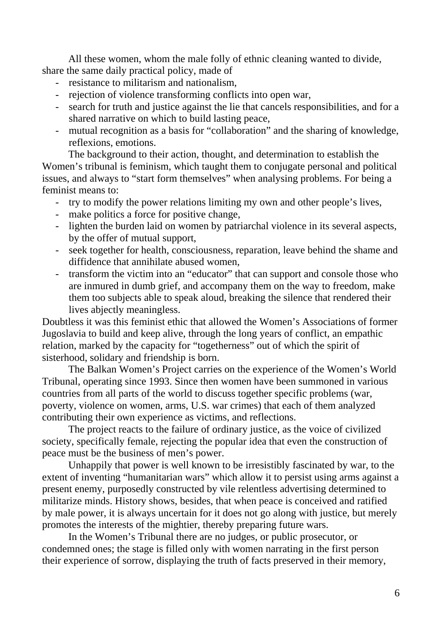All these women, whom the male folly of ethnic cleaning wanted to divide, share the same daily practical policy, made of

- resistance to militarism and nationalism,
- rejection of violence transforming conflicts into open war,
- search for truth and justice against the lie that cancels responsibilities, and for a shared narrative on which to build lasting peace,
- mutual recognition as a basis for "collaboration" and the sharing of knowledge, reflexions, emotions.

 The background to their action, thought, and determination to establish the Women's tribunal is feminism, which taught them to conjugate personal and political issues, and always to "start form themselves" when analysing problems. For being a feminist means to:

- try to modify the power relations limiting my own and other people's lives,
- make politics a force for positive change,
- lighten the burden laid on women by patriarchal violence in its several aspects, by the offer of mutual support,
- seek together for health, consciousness, reparation, leave behind the shame and diffidence that annihilate abused women,
- transform the victim into an "educator" that can support and console those who are inmured in dumb grief, and accompany them on the way to freedom, make them too subjects able to speak aloud, breaking the silence that rendered their lives abjectly meaningless.

Doubtless it was this feminist ethic that allowed the Women's Associations of former Jugoslavia to build and keep alive, through the long years of conflict, an empathic relation, marked by the capacity for "togetherness" out of which the spirit of sisterhood, solidary and friendship is born.

 The Balkan Women's Project carries on the experience of the Women's World Tribunal, operating since 1993. Since then women have been summoned in various countries from all parts of the world to discuss together specific problems (war, poverty, violence on women, arms, U.S. war crimes) that each of them analyzed contributing their own experience as victims, and reflections.

 The project reacts to the failure of ordinary justice, as the voice of civilized society, specifically female, rejecting the popular idea that even the construction of peace must be the business of men's power.

 Unhappily that power is well known to be irresistibly fascinated by war, to the extent of inventing "humanitarian wars" which allow it to persist using arms against a present enemy, purposedly constructed by vile relentless advertising determined to militarize minds. History shows, besides, that when peace is conceived and ratified by male power, it is always uncertain for it does not go along with justice, but merely promotes the interests of the mightier, thereby preparing future wars.

 In the Women's Tribunal there are no judges, or public prosecutor, or condemned ones; the stage is filled only with women narrating in the first person their experience of sorrow, displaying the truth of facts preserved in their memory,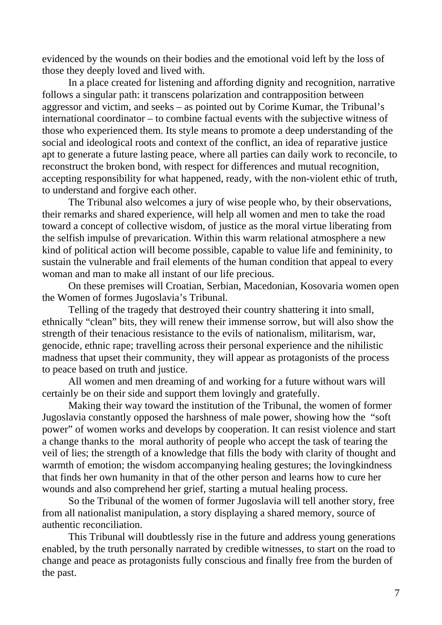evidenced by the wounds on their bodies and the emotional void left by the loss of those they deeply loved and lived with.

 In a place created for listening and affording dignity and recognition, narrative follows a singular path: it transcens polarization and contrapposition between aggressor and victim, and seeks – as pointed out by Corime Kumar, the Tribunal's international coordinator – to combine factual events with the subjective witness of those who experienced them. Its style means to promote a deep understanding of the social and ideological roots and context of the conflict, an idea of reparative justice apt to generate a future lasting peace, where all parties can daily work to reconcile, to reconstruct the broken bond, with respect for differences and mutual recognition, accepting responsibility for what happened, ready, with the non-violent ethic of truth, to understand and forgive each other.

 The Tribunal also welcomes a jury of wise people who, by their observations, their remarks and shared experience, will help all women and men to take the road toward a concept of collective wisdom, of justice as the moral virtue liberating from the selfish impulse of prevarication. Within this warm relational atmosphere a new kind of political action will become possible, capable to value life and femininity, to sustain the vulnerable and frail elements of the human condition that appeal to every woman and man to make all instant of our life precious.

 On these premises will Croatian, Serbian, Macedonian, Kosovaria women open the Women of formes Jugoslavia's Tribunal.

 Telling of the tragedy that destroyed their country shattering it into small, ethnically "clean" bits, they will renew their immense sorrow, but will also show the strength of their tenacious resistance to the evils of nationalism, militarism, war, genocide, ethnic rape; travelling across their personal experience and the nihilistic madness that upset their community, they will appear as protagonists of the process to peace based on truth and justice.

 All women and men dreaming of and working for a future without wars will certainly be on their side and support them lovingly and gratefully.

 Making their way toward the institution of the Tribunal, the women of former Jugoslavia constantly opposed the harshness of male power, showing how the "soft power" of women works and develops by cooperation. It can resist violence and start a change thanks to the moral authority of people who accept the task of tearing the veil of lies; the strength of a knowledge that fills the body with clarity of thought and warmth of emotion; the wisdom accompanying healing gestures; the loving kindness that finds her own humanity in that of the other person and learns how to cure her wounds and also comprehend her grief, starting a mutual healing process.

 So the Tribunal of the women of former Jugoslavia will tell another story, free from all nationalist manipulation, a story displaying a shared memory, source of authentic reconciliation.

 This Tribunal will doubtlessly rise in the future and address young generations enabled, by the truth personally narrated by credible witnesses, to start on the road to change and peace as protagonists fully conscious and finally free from the burden of the past.